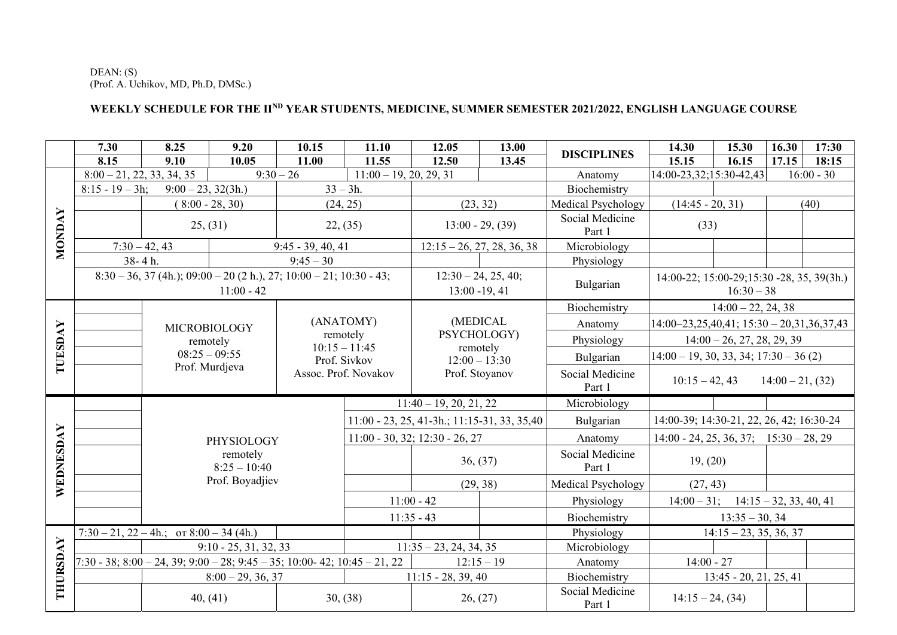DEAN: (S) (Prof. A. Uchikov, MD, Ph.D, DMSc.)

## **WEEKLY SCHEDULE FOR THE IIND YEAR STUDENTS, MEDICINE, SUMMER SEMESTER 2021/2022, ENGLISH LANGUAGE COURSE**

|               | 7.30                                                                                              | 8.25                                                                 | 9.20                                          | 10.15                                                   | 11.10                                        | 12.05                                     | 13.00                     | <b>DISCIPLINES</b>                         | 14.30                                     | 15.30                                                       | 16.30 | 17:30 |
|---------------|---------------------------------------------------------------------------------------------------|----------------------------------------------------------------------|-----------------------------------------------|---------------------------------------------------------|----------------------------------------------|-------------------------------------------|---------------------------|--------------------------------------------|-------------------------------------------|-------------------------------------------------------------|-------|-------|
|               | 8.15                                                                                              | 9.10                                                                 | 10.05                                         | 11.00                                                   | 11.55                                        | 12.50                                     | 13.45                     |                                            | 15.15                                     | 16.15                                                       | 17.15 | 18:15 |
|               |                                                                                                   | $\overline{9:}30-26$<br>$8:00 - 21, 22, 33, 34, 35$                  |                                               |                                                         | $11:00 - 19, 20, 29, 31$                     |                                           |                           | Anatomy                                    | 14:00-23,32;15:30-42,43<br>$16:00 - 30$   |                                                             |       |       |
|               | $8:15 - 19 - 3h$ ;                                                                                | $9:00 - 23, 32(3h.)$                                                 |                                               | $33 - 3h$ .                                             |                                              |                                           |                           | Biochemistry                               |                                           |                                                             |       |       |
| <b>MONDAY</b> |                                                                                                   | $(8:00 - 28, 30)$                                                    |                                               | (24, 25)                                                |                                              | (23, 32)                                  |                           | Medical Psychology                         | $(14:45 - 20, 31)$                        |                                                             |       | (40)  |
|               | 25, (31)                                                                                          |                                                                      |                                               | $13:00 - 29, (39)$<br>22, (35)                          |                                              |                                           | Social Medicine<br>Part 1 | (33)                                       |                                           |                                                             |       |       |
|               | $9:45 - 39, 40, 41$<br>$7:30-42,43$                                                               |                                                                      |                                               |                                                         | $12:15 - 26, 27, 28, 36, 38$                 |                                           | Microbiology              |                                            |                                           |                                                             |       |       |
|               | 38-4h.                                                                                            |                                                                      |                                               | $9:45 - 30$                                             |                                              |                                           |                           | Physiology                                 |                                           |                                                             |       |       |
|               | $8:30 - 36$ , 37 (4h.); 09:00 - 20 (2 h.), 27; 10:00 - 21; 10:30 - 43;<br>$11:00 - 42$            |                                                                      |                                               |                                                         |                                              | $12:30 - 24, 25, 40;$<br>$13:00 - 19, 41$ |                           | Bulgarian                                  |                                           | 14:00-22; 15:00-29; 15:30 - 28, 35, 39(3h.)<br>$16:30 - 38$ |       |       |
|               |                                                                                                   |                                                                      |                                               |                                                         |                                              |                                           |                           | Biochemistry                               | $14:00 - 22, 24, 38$                      |                                                             |       |       |
| TUESDAY       |                                                                                                   | <b>MICROBIOLOGY</b><br>remotely<br>$08:25 - 09:55$<br>Prof. Murdjeva |                                               | (ANATOMY)                                               |                                              |                                           | (MEDICAL                  | Anatomy                                    | $14:00-23,25,40,41; 15:30-20,31,36,37,43$ |                                                             |       |       |
|               |                                                                                                   |                                                                      |                                               | remotely                                                |                                              | PSYCHOLOGY)                               |                           | Physiology                                 | $14:00 - 26, 27, 28, 29, 39$              |                                                             |       |       |
|               |                                                                                                   |                                                                      |                                               | $10:15 - 11:45$<br>Prof. Sivkov<br>Assoc. Prof. Novakov |                                              | remotely<br>$12:00 - 13:30$               | Bulgarian                 | $14:00 - 19$ , 30, 33, 34; $17:30 - 36(2)$ |                                           |                                                             |       |       |
|               |                                                                                                   |                                                                      |                                               |                                                         |                                              | Prof. Stoyanov                            |                           | Social Medicine<br>Part 1                  | $10:15 - 42, 43$<br>$14:00 - 21, (32)$    |                                                             |       |       |
|               |                                                                                                   |                                                                      |                                               |                                                         |                                              | $11:40 - 19, 20, 21, 22$                  |                           | Microbiology                               |                                           |                                                             |       |       |
|               |                                                                                                   |                                                                      |                                               |                                                         | 11:00 - 23, 25, 41-3h.; 11:15-31, 33, 35, 40 |                                           | Bulgarian                 | 14:00-39; 14:30-21, 22, 26, 42; 16:30-24   |                                           |                                                             |       |       |
|               |                                                                                                   |                                                                      | PHYSIOLOGY                                    |                                                         | $11:00 - 30, 32; 12:30 - 26, 27$             |                                           | Anatomy                   | $14:00 - 24, 25, 36, 37; 15:30 - 28, 29$   |                                           |                                                             |       |       |
| WEDNESDAY     |                                                                                                   |                                                                      | remotely<br>$8:25 - 10:40$<br>Prof. Boyadjiev |                                                         |                                              | 36, (37)                                  |                           | Social Medicine<br>Part 1                  | 19, (20)                                  |                                                             |       |       |
|               |                                                                                                   |                                                                      |                                               |                                                         |                                              | (29, 38)                                  |                           | Medical Psychology                         | (27, 43)                                  |                                                             |       |       |
|               |                                                                                                   |                                                                      |                                               |                                                         | $11:00 - 42$                                 |                                           |                           | Physiology                                 | $14:00 - 31$ ; $14:15 - 32$ , 33, 40, 41  |                                                             |       |       |
|               |                                                                                                   |                                                                      |                                               | $11:35 - 43$                                            |                                              | Biochemistry                              | $13:35 - 30, 34$          |                                            |                                           |                                                             |       |       |
|               |                                                                                                   | $7:30 - 21$ , $22 - 4h$ ; or $8:00 - 34$ (4h.)                       |                                               |                                                         |                                              |                                           | Physiology                |                                            | $14:15 - 23, 35, 36, 37$                  |                                                             |       |       |
|               | $9:10 - 25, 31, 32, 33$                                                                           |                                                                      |                                               |                                                         | $11:35 - 23, 24, 34, 35$                     |                                           | Microbiology              |                                            |                                           |                                                             |       |       |
|               | $7:30 - 38$ ; $8:00 - 24$ , $39$ ; $9:00 - 28$ ; $9:45 - 35$ ; $10:00 - 42$ ; $10:45 - 21$ , $22$ |                                                                      |                                               |                                                         |                                              | $12:15 - 19$                              | Anatomy                   | $14:00 - 27$                               |                                           |                                                             |       |       |
| THURSDAY      |                                                                                                   |                                                                      | $8:00 - 29, 36, 37$                           |                                                         |                                              | $11:15 - 28, 39, 40$                      |                           | Biochemistry                               |                                           | $13:45 - 20, 21, 25, 41$                                    |       |       |
|               |                                                                                                   | 40, (41)                                                             |                                               |                                                         | 30, (38)                                     | 26, (27)                                  |                           | Social Medicine<br>Part 1                  | $14:15 - 24, (34)$                        |                                                             |       |       |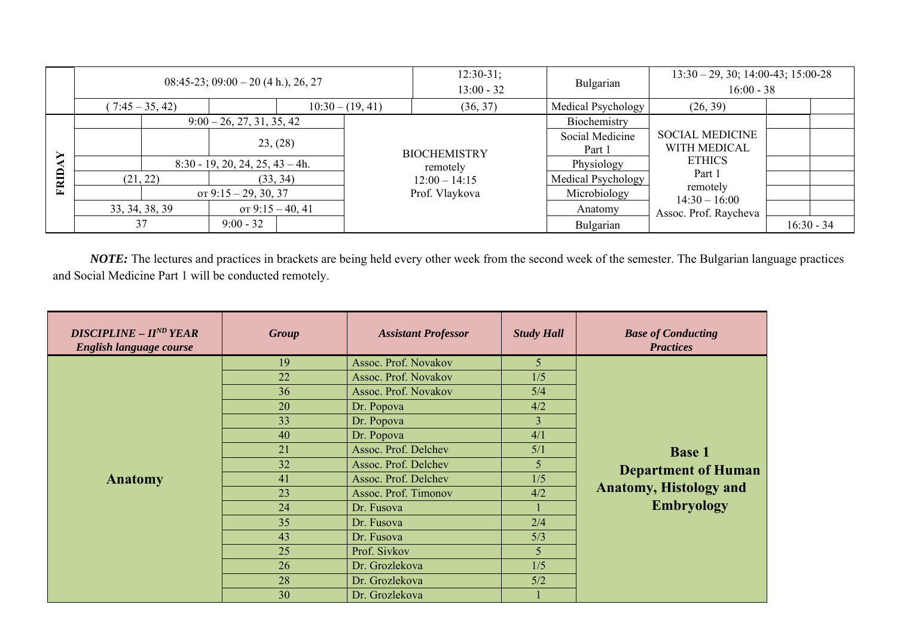|       | $08:45-23$ ; $09:00-20$ (4 h.), 26, 27 |                                    |             |                                   |                     | $12:30-31;$<br>$13:00 - 32$ | Bulgarian                                              | $13:30 - 29, 30; 14:00-43; 15:00-28$<br>$16:00 - 38$ |              |  |
|-------|----------------------------------------|------------------------------------|-------------|-----------------------------------|---------------------|-----------------------------|--------------------------------------------------------|------------------------------------------------------|--------------|--|
|       | $10:30 - (19, 41)$<br>$(7:45-35, 42)$  |                                    |             | (36, 37)                          | Medical Psychology  | (26, 39)                    |                                                        |                                                      |              |  |
| ➤     | $9:00 - 26, 27, 31, 35, 42$            |                                    |             |                                   |                     | Biochemistry                |                                                        |                                                      |              |  |
|       |                                        |                                    | 23, (28)    |                                   | <b>BIOCHEMISTRY</b> |                             | Social Medicine<br>Part 1                              | <b>SOCIAL MEDICINE</b><br>WITH MEDICAL               |              |  |
|       | $8:30 - 19, 20, 24, 25, 43 - 4h.$      |                                    |             |                                   | remotely            | Physiology                  | <b>ETHICS</b><br>Part 1<br>remotely<br>$14:30 - 16:00$ |                                                      |              |  |
| FRID. |                                        | (33, 34)<br>(21, 22)               |             | $12:00 - 14:15$<br>Prof. Vlaykova | Medical Psychology  |                             |                                                        |                                                      |              |  |
|       |                                        | or $9:15 - 29, 30, 37$             |             |                                   | Microbiology        |                             |                                                        |                                                      |              |  |
|       |                                        | от 9:15 – 40, 41<br>33, 34, 38, 39 |             |                                   |                     |                             | Anatomy                                                | Assoc. Prof. Raycheva                                |              |  |
|       | 37                                     |                                    | $9:00 - 32$ |                                   |                     |                             | Bulgarian                                              |                                                      | $16:30 - 34$ |  |

*NOTE:* The lectures and practices in brackets are being held every other week from the second week of the semester. The Bulgarian language practices and Social Medicine Part 1 will be conducted remotely.

| <b>DISCIPLINE - II<sup>ND</sup>YEAR</b><br>English language course | <b>Group</b> | <b>Assistant Professor</b> | <b>Study Hall</b> | <b>Base of Conducting</b><br><b>Practices</b> |
|--------------------------------------------------------------------|--------------|----------------------------|-------------------|-----------------------------------------------|
|                                                                    | 19           | Assoc. Prof. Novakov       | 5                 |                                               |
|                                                                    | 22           | Assoc. Prof. Novakov       | 1/5               |                                               |
|                                                                    | 36           | Assoc. Prof. Novakov       | 5/4               |                                               |
|                                                                    | 20           | Dr. Popova                 | 4/2               |                                               |
|                                                                    | 33           | Dr. Popova                 | 3                 |                                               |
|                                                                    | 40           | Dr. Popova                 | 4/1               |                                               |
|                                                                    | 21           | Assoc. Prof. Delchev       | 5/1               | <b>Base 1</b>                                 |
|                                                                    | 32           | Assoc. Prof. Delchev       | 5                 | <b>Department of Human</b>                    |
| <b>Anatomy</b>                                                     | 41           | Assoc. Prof. Delchev       | 1/5               |                                               |
|                                                                    | 23           | Assoc. Prof. Timonov       | 4/2               | <b>Anatomy, Histology and</b>                 |
|                                                                    | 24           | Dr. Fusova                 |                   | <b>Embryology</b>                             |
|                                                                    | 35           | Dr. Fusova                 | 2/4               |                                               |
|                                                                    | 43           | Dr. Fusova                 | 5/3               |                                               |
|                                                                    | 25           | Prof. Sivkov               | 5                 |                                               |
|                                                                    | 26           | Dr. Grozlekova             | 1/5               |                                               |
|                                                                    | 28           | Dr. Grozlekova             | 5/2               |                                               |
|                                                                    | 30           | Dr. Grozlekova             |                   |                                               |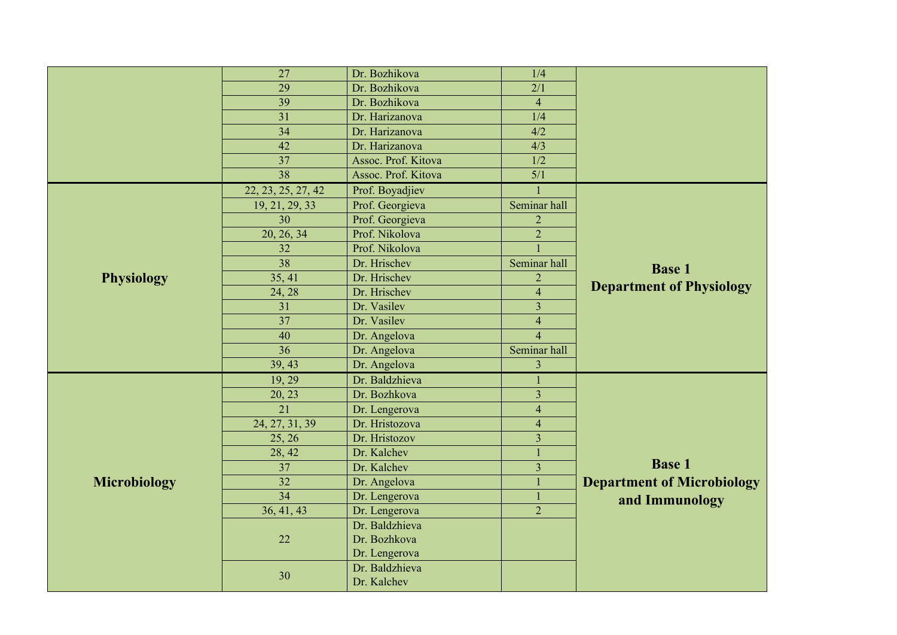|                     | 27                 | Dr. Bozhikova       | 1/4              |                                   |
|---------------------|--------------------|---------------------|------------------|-----------------------------------|
|                     | 29                 | Dr. Bozhikova       | 2/1              |                                   |
|                     | 39                 | Dr. Bozhikova       | $\overline{4}$   |                                   |
|                     | 31                 | Dr. Harizanova      | 1/4              |                                   |
|                     | 34                 | Dr. Harizanova      | 4/2              |                                   |
|                     | 42                 | Dr. Harizanova      | $\overline{4/3}$ |                                   |
|                     | 37                 | Assoc. Prof. Kitova | 1/2              |                                   |
|                     | 38                 | Assoc. Prof. Kitova | 5/1              |                                   |
|                     | 22, 23, 25, 27, 42 | Prof. Boyadjiev     |                  |                                   |
|                     | 19, 21, 29, 33     | Prof. Georgieva     | Seminar hall     |                                   |
|                     | 30                 | Prof. Georgieva     | $\overline{2}$   |                                   |
|                     | 20, 26, 34         | Prof. Nikolova      | $\overline{2}$   |                                   |
|                     | 32                 | Prof. Nikolova      |                  |                                   |
|                     | $\overline{38}$    | Dr. Hrischev        | Seminar hall     | <b>Base 1</b>                     |
| <b>Physiology</b>   | 35, 41             | Dr. Hrischev        | $\overline{c}$   |                                   |
|                     | 24, 28             | Dr. Hrischev        | $\overline{4}$   | <b>Department of Physiology</b>   |
|                     | $\overline{31}$    | Dr. Vasilev         | $\overline{3}$   |                                   |
|                     | $\overline{37}$    | Dr. Vasilev         | $\overline{4}$   |                                   |
|                     | 40                 | Dr. Angelova        | $\overline{4}$   |                                   |
|                     | 36                 | Dr. Angelova        | Seminar hall     |                                   |
|                     | 39, 43             | Dr. Angelova        | $\overline{3}$   |                                   |
|                     | 19, 29             | Dr. Baldzhieva      |                  |                                   |
|                     | 20, 23             | Dr. Bozhkova        | $\overline{3}$   |                                   |
|                     | $\overline{21}$    | Dr. Lengerova       | $\overline{4}$   |                                   |
|                     | 24, 27, 31, 39     | Dr. Hristozova      | $\overline{4}$   |                                   |
|                     | 25, 26             | Dr. Hristozov       | $\overline{3}$   |                                   |
|                     | 28, 42             | Dr. Kalchev         |                  |                                   |
|                     | 37                 | Dr. Kalchev         | $\overline{3}$   | <b>Base 1</b>                     |
| <b>Microbiology</b> | $\overline{32}$    | Dr. Angelova        |                  | <b>Department of Microbiology</b> |
|                     | $\overline{34}$    | Dr. Lengerova       |                  | and Immunology                    |
|                     | 36, 41, 43         | Dr. Lengerova       | $\overline{2}$   |                                   |
|                     |                    | Dr. Baldzhieva      |                  |                                   |
|                     | 22                 | Dr. Bozhkova        |                  |                                   |
|                     |                    | Dr. Lengerova       |                  |                                   |
|                     | 30                 | Dr. Baldzhieva      |                  |                                   |
|                     |                    | Dr. Kalchev         |                  |                                   |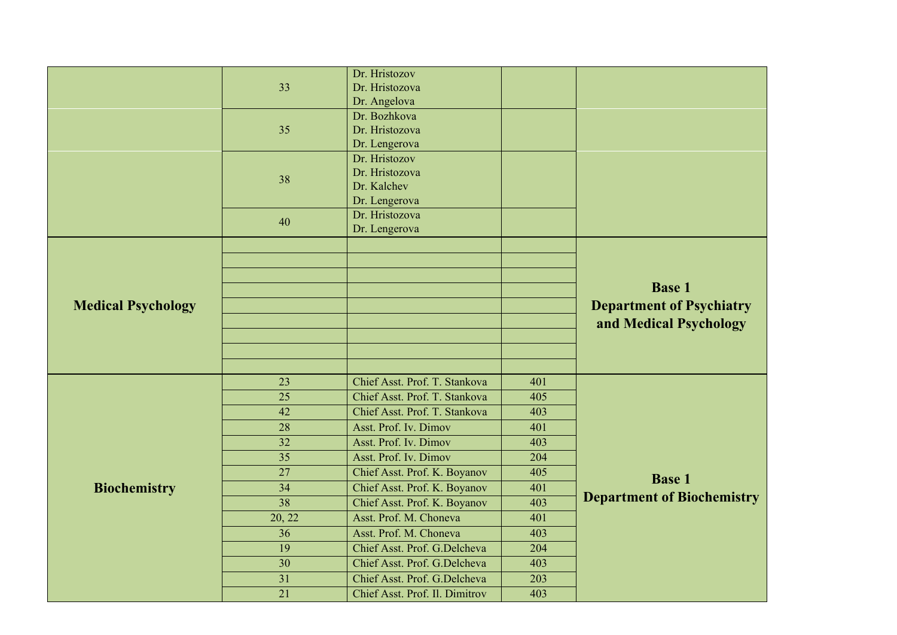|                           | 33<br>35<br>38  | Dr. Hristozov<br>Dr. Hristozova<br>Dr. Angelova<br>Dr. Bozhkova<br>Dr. Hristozova<br>Dr. Lengerova<br>Dr. Hristozov<br>Dr. Hristozova<br>Dr. Kalchev<br>Dr. Lengerova<br>Dr. Hristozova |            |                                                                            |
|---------------------------|-----------------|-----------------------------------------------------------------------------------------------------------------------------------------------------------------------------------------|------------|----------------------------------------------------------------------------|
| <b>Medical Psychology</b> | 40              | Dr. Lengerova                                                                                                                                                                           |            | <b>Base 1</b><br><b>Department of Psychiatry</b><br>and Medical Psychology |
|                           |                 |                                                                                                                                                                                         |            |                                                                            |
|                           | 23              | Chief Asst. Prof. T. Stankova                                                                                                                                                           | 401        |                                                                            |
|                           | 25              | Chief Asst. Prof. T. Stankova                                                                                                                                                           | 405        |                                                                            |
|                           | 42              | Chief Asst. Prof. T. Stankova                                                                                                                                                           | 403        |                                                                            |
|                           | 28<br>32        | Asst. Prof. Iv. Dimov<br>Asst. Prof. Iv. Dimov                                                                                                                                          | 401<br>403 |                                                                            |
|                           | 35              | Asst. Prof. Iv. Dimov                                                                                                                                                                   | 204        |                                                                            |
|                           | $\overline{27}$ | Chief Asst. Prof. K. Boyanov                                                                                                                                                            | 405        |                                                                            |
| <b>Biochemistry</b>       | $\overline{34}$ | Chief Asst. Prof. K. Boyanov                                                                                                                                                            | 401        | <b>Base 1</b>                                                              |
|                           | $\overline{38}$ | Chief Asst. Prof. K. Boyanov                                                                                                                                                            | 403        | <b>Department of Biochemistry</b>                                          |
|                           | 20, 22          | Asst. Prof. M. Choneva                                                                                                                                                                  | 401        |                                                                            |
|                           | 36              | Asst. Prof. M. Choneva                                                                                                                                                                  | 403        |                                                                            |
|                           | $\overline{19}$ | Chief Asst. Prof. G.Delcheva                                                                                                                                                            | 204        |                                                                            |
|                           | 30              | Chief Asst. Prof. G.Delcheva                                                                                                                                                            | 403        |                                                                            |
|                           | 31              | Chief Asst. Prof. G.Delcheva                                                                                                                                                            | 203        |                                                                            |
|                           | 21              | Chief Asst. Prof. Il. Dimitrov                                                                                                                                                          | 403        |                                                                            |